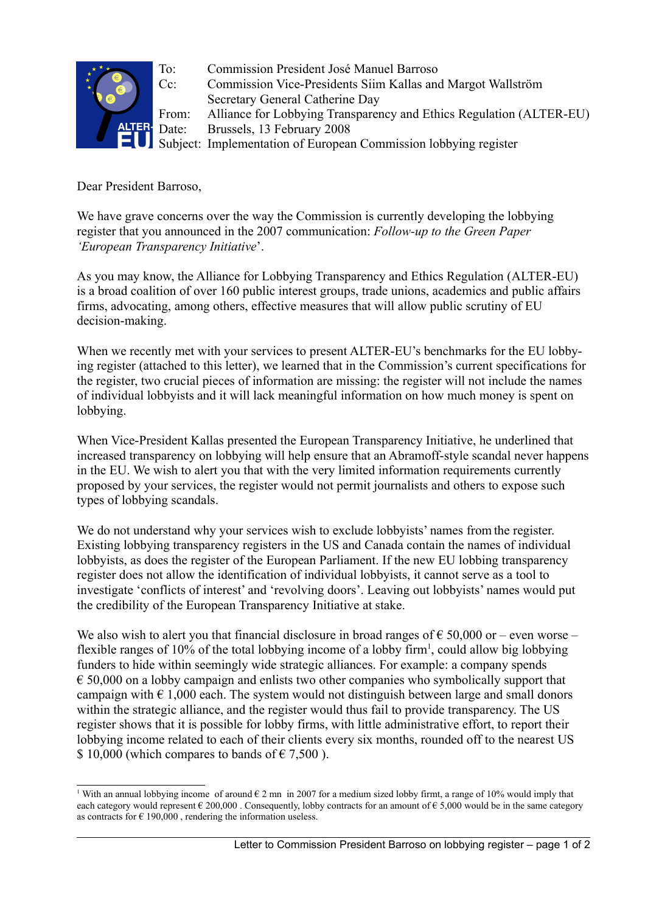

To: Commission President José Manuel Barroso Cc: Commission Vice-Presidents Siim Kallas and Margot Wallström Secretary General Catherine Day From: Alliance for Lobbying Transparency and Ethics Regulation (ALTER-EU) Date: Brussels, 13 February 2008 Subject: Implementation of European Commission lobbying register

Dear President Barroso,

We have grave concerns over the way the Commission is currently developing the lobbying register that you announced in the 2007 communication: *Follow-up to the Green Paper 'European Transparency Initiative*'.

As you may know, the Alliance for Lobbying Transparency and Ethics Regulation (ALTER-EU) is a broad coalition of over 160 public interest groups, trade unions, academics and public affairs firms, advocating, among others, effective measures that will allow public scrutiny of EU decision-making.

When we recently met with your services to present ALTER-EU's benchmarks for the EU lobbying register (attached to this letter), we learned that in the Commission's current specifications for the register, two crucial pieces of information are missing: the register will not include the names of individual lobbyists and it will lack meaningful information on how much money is spent on lobbying.

When Vice-President Kallas presented the European Transparency Initiative, he underlined that increased transparency on lobbying will help ensure that an Abramoff-style scandal never happens in the EU. We wish to alert you that with the very limited information requirements currently proposed by your services, the register would not permit journalists and others to expose such types of lobbying scandals.

We do not understand why your services wish to exclude lobbyists' names from the register. Existing lobbying transparency registers in the US and Canada contain the names of individual lobbyists, as does the register of the European Parliament. If the new EU lobbing transparency register does not allow the identification of individual lobbyists, it cannot serve as a tool to investigate 'conflicts of interest' and 'revolving doors'. Leaving out lobbyists' names would put the credibility of the European Transparency Initiative at stake.

We also wish to alert you that financial disclosure in broad ranges of  $\epsilon$  50,000 or – even worse – flexible ranges of [1](#page-0-0)0% of the total lobbying income of a lobby firm<sup>1</sup>, could allow big lobbying funders to hide within seemingly wide strategic alliances. For example: a company spends  $\epsilon$  50,000 on a lobby campaign and enlists two other companies who symbolically support that campaign with  $\epsilon$  1,000 each. The system would not distinguish between large and small donors within the strategic alliance, and the register would thus fail to provide transparency. The US register shows that it is possible for lobby firms, with little administrative effort, to report their lobbying income related to each of their clients every six months, rounded off to the nearest US \$ 10,000 (which compares to bands of  $\epsilon$  7,500).

<span id="page-0-0"></span><sup>&</sup>lt;sup>1</sup> With an annual lobbying income of around  $\epsilon$  2 mn in 2007 for a medium sized lobby firmt, a range of 10% would imply that each category would represent  $\epsilon$  200,000. Consequently, lobby contracts for an amount of  $\epsilon$  5,000 would be in the same category as contracts for  $\epsilon$  190,000, rendering the information useless.